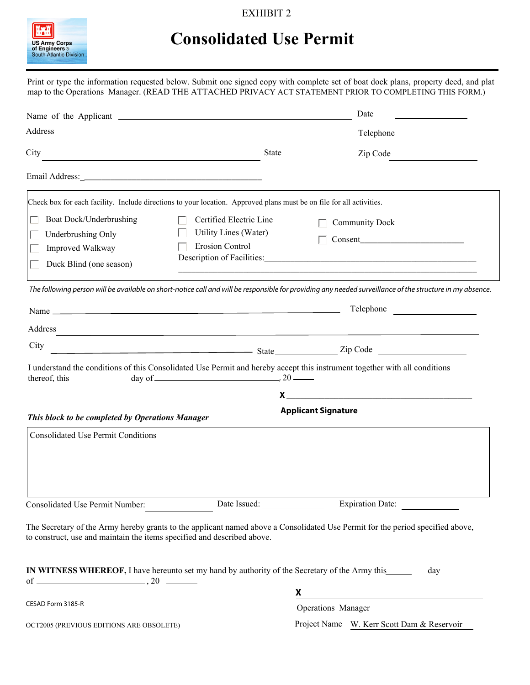### EXHIBIT 2



# **Consolidated Use Permit**

Print or type the information requested below. Submit one signed copy with complete set of boat dock plans, property deed, and plat map to the Operations Manager. (READ THE ATTACHED PRIVACY ACT STATEMENT PRIOR TO COMPLETING THIS FORM.)

|                                                                                                |                                                                                                                                                                                                                               | Date                                                                                                                                                                                                                           |
|------------------------------------------------------------------------------------------------|-------------------------------------------------------------------------------------------------------------------------------------------------------------------------------------------------------------------------------|--------------------------------------------------------------------------------------------------------------------------------------------------------------------------------------------------------------------------------|
| Address                                                                                        |                                                                                                                                                                                                                               | Telephone                                                                                                                                                                                                                      |
| City                                                                                           | <b>State</b>                                                                                                                                                                                                                  | Zip Code                                                                                                                                                                                                                       |
|                                                                                                |                                                                                                                                                                                                                               |                                                                                                                                                                                                                                |
|                                                                                                | Check box for each facility. Include directions to your location. Approved plans must be on file for all activities.                                                                                                          |                                                                                                                                                                                                                                |
| Boat Dock/Underbrushing<br>Underbrushing Only<br>Improved Walkway<br>Duck Blind (one season)   | Certified Electric Line<br>Utility Lines (Water)<br><b>Erosion Control</b>                                                                                                                                                    | <b>Community Dock</b>                                                                                                                                                                                                          |
|                                                                                                |                                                                                                                                                                                                                               | The following person will be available on short-notice call and will be responsible for providing any needed surveillance of the structure in my absence.                                                                      |
|                                                                                                |                                                                                                                                                                                                                               | Telephone                                                                                                                                                                                                                      |
| Address                                                                                        | the control of the control of the control of the control of the control of the control of the control of the control of the control of the control of the control of the control of the control of the control of the control |                                                                                                                                                                                                                                |
| City                                                                                           |                                                                                                                                                                                                                               | Eip Code 21 Contract 21 Contract 21 Code 21 Code 21 Code 21 Code 21 Code 21 Code 21 Code 21 Code 21 Code 31 Code 32 Code 32 Code 32 Code 32 Code 32 Code 32 Code 32 Code 32 Code 32 Code 32 Code 32 Code 32 Code 32 Code 32 Co |
|                                                                                                | thereof, this $\_\_\_\_\_\_\_\_\_\_\_\_\_\_\_\_\_\_\_\_\_\_\_$                                                                                                                                                                | I understand the conditions of this Consolidated Use Permit and hereby accept this instrument together with all conditions                                                                                                     |
| This block to be completed by Operations Manager                                               |                                                                                                                                                                                                                               | $x \overline{)}$<br><b>Applicant Signature</b>                                                                                                                                                                                 |
| <b>Consolidated Use Permit Conditions</b>                                                      |                                                                                                                                                                                                                               |                                                                                                                                                                                                                                |
| Consolidated Use Permit Number:                                                                | Date Issued:                                                                                                                                                                                                                  | Expiration Date:                                                                                                                                                                                                               |
| to construct, use and maintain the items specified and described above.                        |                                                                                                                                                                                                                               | The Secretary of the Army hereby grants to the applicant named above a Consolidated Use Permit for the period specified above,                                                                                                 |
| IN WITNESS WHEREOF, I have hereunto set my hand by authority of the Secretary of the Army this |                                                                                                                                                                                                                               | day                                                                                                                                                                                                                            |
| CESAD Form 3185-R                                                                              |                                                                                                                                                                                                                               | X                                                                                                                                                                                                                              |
|                                                                                                |                                                                                                                                                                                                                               | Operations Manager                                                                                                                                                                                                             |
| OCT2005 (PREVIOUS EDITIONS ARE OBSOLETE)                                                       |                                                                                                                                                                                                                               | Project Name W. Kerr Scott Dam & Reservoir                                                                                                                                                                                     |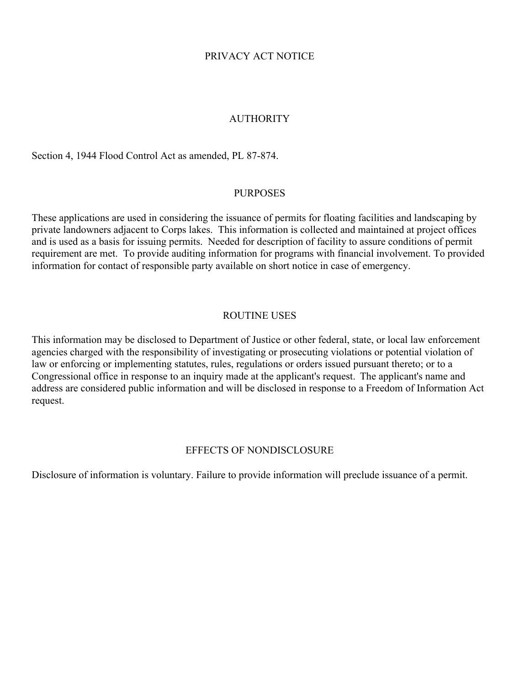### PRIVACY ACT NOTICE

### **AUTHORITY**

Section 4, 1944 Flood Control Act as amended, PL 87-874.

#### PURPOSES

These applications are used in considering the issuance of permits for floating facilities and landscaping by private landowners adjacent to Corps lakes. This information is collected and maintained at project offices and is used as a basis for issuing permits. Needed for description of facility to assure conditions of permit requirement are met. To provide auditing information for programs with financial involvement. To provided information for contact of responsible party available on short notice in case of emergency.

### ROUTINE USES

This information may be disclosed to Department of Justice or other federal, state, or local law enforcement agencies charged with the responsibility of investigating or prosecuting violations or potential violation of law or enforcing or implementing statutes, rules, regulations or orders issued pursuant thereto; or to a Congressional office in response to an inquiry made at the applicant's request. The applicant's name and address are considered public information and will be disclosed in response to a Freedom of Information Act request.

#### EFFECTS OF NONDISCLOSURE

Disclosure of information is voluntary. Failure to provide information will preclude issuance of a permit.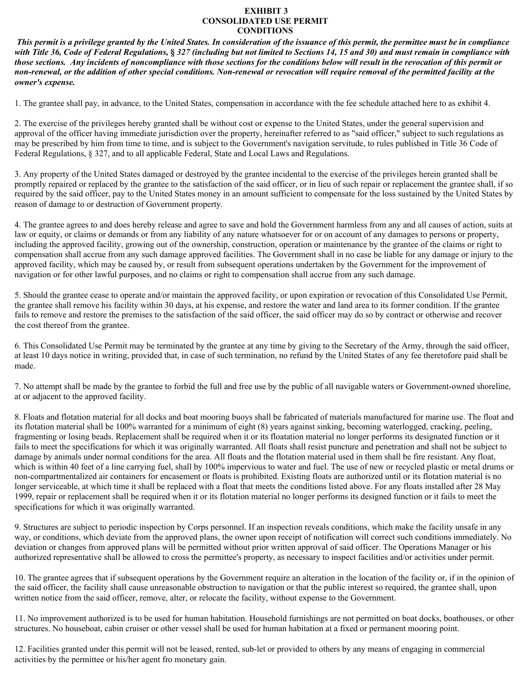#### **EXHIBIT 3 CONSOLIDATED USE PERMIT CONDITIONS**

*This permit is a privilege granted by the United States. In consideration of the issuance of this permit, the permittee must be in compliance with Title 36, Code of Federal Regulations,* **§** *327 (including but not limited to Sections 14, 15 and 30) and must remain in compliance with those sections. Any incidents of noncompliance with those sections for the conditions below will result in the revocation of this permit or non-renewal, or the addition of other special conditions. Non-renewal or revocation will require removal of the permitted facility at the owner's expense.*

1. The grantee shall pay, in advance, to the United States, compensation in accordance with the fee schedule attached here to as exhibit 4.

2. The exercise of the privileges hereby granted shall be without cost or expense to the United States, under the general supervision and approval of the officer having immediate jurisdiction over the property, hereinafter referred to as "said officer," subject to such regulations as may be prescribed by him from time to time, and is subject to the Government's navigation servitude, to rules published in Title 36 Code of Federal Regulations, § 327, and to all applicable Federal, State and Local Laws and Regulations.

3. Any property of the United States damaged or destroyed by the grantee incidental to the exercise of the privileges herein granted shall be promptly repaired or replaced by the grantee to the satisfaction of the said officer, or in lieu of such repair or replacement the grantee shall, if so required by the said officer, pay to the United States money in an amount sufficient to compensate for the loss sustained by the United States by reason of damage to or destruction of Government property.

4. The grantee agrees to and does hereby release and agree to save and hold the Government harmless from any and all causes of action, suits at law or equity, or claims or demands or from any liability of any nature whatsoever for or on account of any damages to persons or property, including the approved facility, growing out of the ownership, construction, operation or maintenance by the grantee of the claims or right to compensation shall accrue from any such damage approved facilities. The Government shall in no case be liable for any damage or injury to the approved facility, which may be caused by, or result from subsequent operations undertaken by the Government for the improvement of navigation or for other lawful purposes, and no claims or right to compensation shall accrue from any such damage.

5. Should the grantee cease to operate and/or maintain the approved facility, or upon expiration or revocation of this Consolidated Use Permit, the grantee shall remove his facility within 30 days, at his expense, and restore the water and land area to its former condition. If the grantee fails to remove and restore the premises to the satisfaction of the said officer, the said officer may do so by contract or otherwise and recover the cost thereof from the grantee.

6. This Consolidated Use Permit may be terminated by the grantee at any time by giving to the Secretary of the Army, through the said officer, at least 10 days notice in writing, provided that, in case of such termination, no refund by the United States of any fee theretofore paid shall be made.

7. No attempt shall be made by the grantee to forbid the full and free use by the public of all navigable waters or Government-owned shoreline, at or adjacent to the approved facility.

8. Floats and flotation material for all docks and boat mooring buoys shall be fabricated of materials manufactured for marine use. The float and its flotation material shall be 100% warranted for a minimum of eight (8) years against sinking, becoming waterlogged, cracking, peeling, fragmenting or losing beads. Replacement shall be required when it or its floatation material no longer performs its designated function or it fails to meet the specifications for which it was originally warranted. All floats shall resist puncture and penetration and shall not be subject to damage by animals under normal conditions for the area. All floats and the flotation material used in them shall be fire resistant. Any float, which is within 40 feet of a line carrying fuel, shall by 100% impervious to water and fuel. The use of new or recycled plastic or metal drums or non-compartmentalized air containers for encasement or floats is prohibited. Existing floats are authorized until or its flotation material is no longer serviceable, at which time it shall be replaced with a float that meets the conditions listed above. For any floats installed after 28 May 1999, repair or replacement shall be required when it or its flotation material no longer performs its designed function or it fails to meet the specifications for which it was originally warranted.

9. Structures are subject to periodic inspection by Corps personnel. If an inspection reveals conditions, which make the facility unsafe in any way, or conditions, which deviate from the approved plans, the owner upon receipt of notification will correct such conditions immediately. No deviation or changes from approved plans will be permitted without prior written approval of said officer. The Operations Manager or his authorized representative shall be allowed to cross the permittee's property, as necessary to inspect facilities and/or activities under permit.

10. The grantee agrees that if subsequent operations by the Government require an alteration in the location of the facility or, if in the opinion of the said officer, the facility shall cause unreasonable obstruction to navigation or that the public interest so required, the grantee shall, upon written notice from the said officer, remove, alter, or relocate the facility, without expense to the Government.

11. No improvement authorized is to be used for human habitation. Household furnishings are not permitted on boat docks, boathouses, or other structures. No houseboat, cabin cruiser or other vessel shall be used for human habitation at a fixed or permanent mooring point.

12. Facilities granted under this permit will not be leased, rented, sub-let or provided to others by any means of engaging in commercial activities by the permittee or his/her agent fro monetary gain.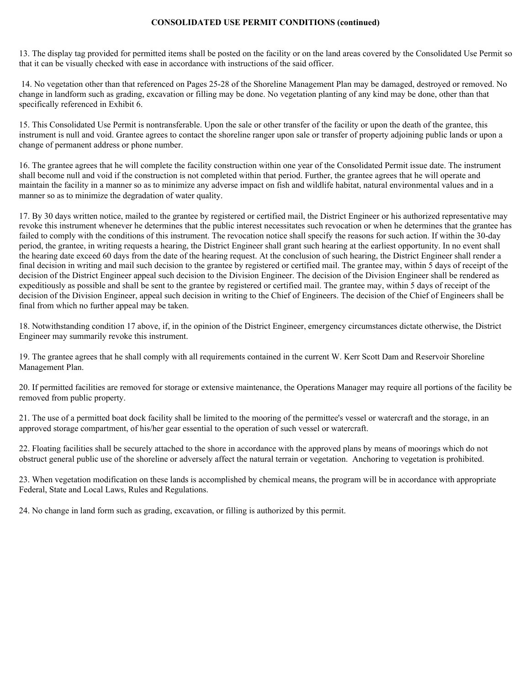#### **CONSOLIDATED USE PERMIT CONDITIONS (continued)**

13. The display tag provided for permitted items shall be posted on the facility or on the land areas covered by the Consolidated Use Permit so that it can be visually checked with ease in accordance with instructions of the said officer.

 14. No vegetation other than that referenced on Pages 25-28 of the Shoreline Management Plan may be damaged, destroyed or removed. No change in landform such as grading, excavation or filling may be done. No vegetation planting of any kind may be done, other than that specifically referenced in Exhibit 6.

15. This Consolidated Use Permit is nontransferable. Upon the sale or other transfer of the facility or upon the death of the grantee, this instrument is null and void. Grantee agrees to contact the shoreline ranger upon sale or transfer of property adjoining public lands or upon a change of permanent address or phone number.

16. The grantee agrees that he will complete the facility construction within one year of the Consolidated Permit issue date. The instrument shall become null and void if the construction is not completed within that period. Further, the grantee agrees that he will operate and maintain the facility in a manner so as to minimize any adverse impact on fish and wildlife habitat, natural environmental values and in a manner so as to minimize the degradation of water quality.

17. By 30 days written notice, mailed to the grantee by registered or certified mail, the District Engineer or his authorized representative may revoke this instrument whenever he determines that the public interest necessitates such revocation or when he determines that the grantee has failed to comply with the conditions of this instrument. The revocation notice shall specify the reasons for such action. If within the 30-day period, the grantee, in writing requests a hearing, the District Engineer shall grant such hearing at the earliest opportunity. In no event shall the hearing date exceed 60 days from the date of the hearing request. At the conclusion of such hearing, the District Engineer shall render a final decision in writing and mail such decision to the grantee by registered or certified mail. The grantee may, within 5 days of receipt of the decision of the District Engineer appeal such decision to the Division Engineer. The decision of the Division Engineer shall be rendered as expeditiously as possible and shall be sent to the grantee by registered or certified mail. The grantee may, within 5 days of receipt of the decision of the Division Engineer, appeal such decision in writing to the Chief of Engineers. The decision of the Chief of Engineers shall be final from which no further appeal may be taken.

18. Notwithstanding condition 17 above, if, in the opinion of the District Engineer, emergency circumstances dictate otherwise, the District Engineer may summarily revoke this instrument.

19. The grantee agrees that he shall comply with all requirements contained in the current W. Kerr Scott Dam and Reservoir Shoreline Management Plan.

20. If permitted facilities are removed for storage or extensive maintenance, the Operations Manager may require all portions of the facility be removed from public property.

21. The use of a permitted boat dock facility shall be limited to the mooring of the permittee's vessel or watercraft and the storage, in an approved storage compartment, of his/her gear essential to the operation of such vessel or watercraft.

22. Floating facilities shall be securely attached to the shore in accordance with the approved plans by means of moorings which do not obstruct general public use of the shoreline or adversely affect the natural terrain or vegetation. Anchoring to vegetation is prohibited.

23. When vegetation modification on these lands is accomplished by chemical means, the program will be in accordance with appropriate Federal, State and Local Laws, Rules and Regulations.

24. No change in land form such as grading, excavation, or filling is authorized by this permit.